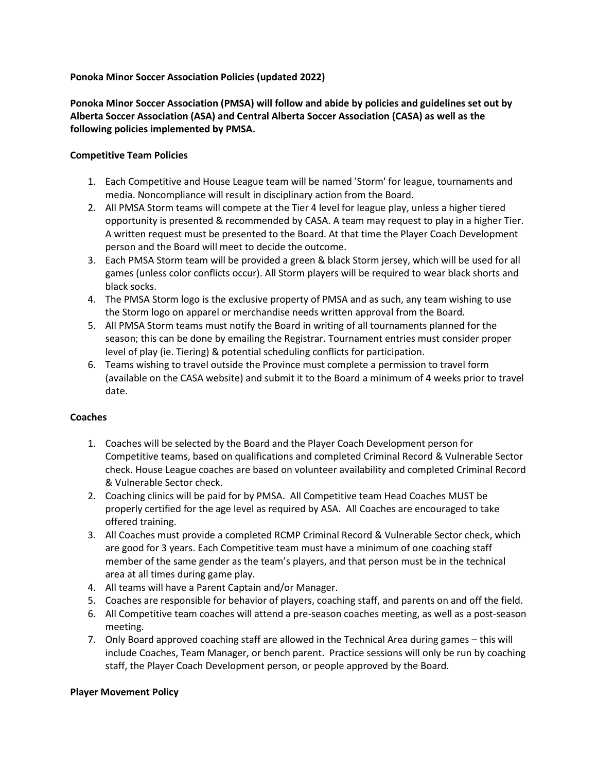### **Ponoka Minor Soccer Association Policies (updated 2022)**

**Ponoka Minor Soccer Association (PMSA) will follow and abide by policies and guidelines set out by Alberta Soccer Association (ASA) and Central Alberta Soccer Association (CASA) as well as the following policies implemented by PMSA.** 

### **Competitive Team Policies**

- 1. Each Competitive and House League team will be named 'Storm' for league, tournaments and media. Noncompliance will result in disciplinary action from the Board.
- 2. All PMSA Storm teams will compete at the Tier 4 level for league play, unless a higher tiered opportunity is presented & recommended by CASA. A team may request to play in a higher Tier. A written request must be presented to the Board. At that time the Player Coach Development person and the Board will meet to decide the outcome.
- 3. Each PMSA Storm team will be provided a green & black Storm jersey, which will be used for all games (unless color conflicts occur). All Storm players will be required to wear black shorts and black socks.
- 4. The PMSA Storm logo is the exclusive property of PMSA and as such, any team wishing to use the Storm logo on apparel or merchandise needs written approval from the Board.
- 5. All PMSA Storm teams must notify the Board in writing of all tournaments planned for the season; this can be done by emailing the Registrar. Tournament entries must consider proper level of play (ie. Tiering) & potential scheduling conflicts for participation.
- 6. Teams wishing to travel outside the Province must complete a permission to travel form (available on the CASA website) and submit it to the Board a minimum of 4 weeks prior to travel date.

### **Coaches**

- 1. Coaches will be selected by the Board and the Player Coach Development person for Competitive teams, based on qualifications and completed Criminal Record & Vulnerable Sector check. House League coaches are based on volunteer availability and completed Criminal Record & Vulnerable Sector check.
- 2. Coaching clinics will be paid for by PMSA. All Competitive team Head Coaches MUST be properly certified for the age level as required by ASA. All Coaches are encouraged to take offered training.
- 3. All Coaches must provide a completed RCMP Criminal Record & Vulnerable Sector check, which are good for 3 years. Each Competitive team must have a minimum of one coaching staff member of the same gender as the team's players, and that person must be in the technical area at all times during game play.
- 4. All teams will have a Parent Captain and/or Manager.
- 5. Coaches are responsible for behavior of players, coaching staff, and parents on and off the field.
- 6. All Competitive team coaches will attend a pre-season coaches meeting, as well as a post-season meeting.
- 7. Only Board approved coaching staff are allowed in the Technical Area during games this will include Coaches, Team Manager, or bench parent. Practice sessions will only be run by coaching staff, the Player Coach Development person, or people approved by the Board.

### **Player Movement Policy**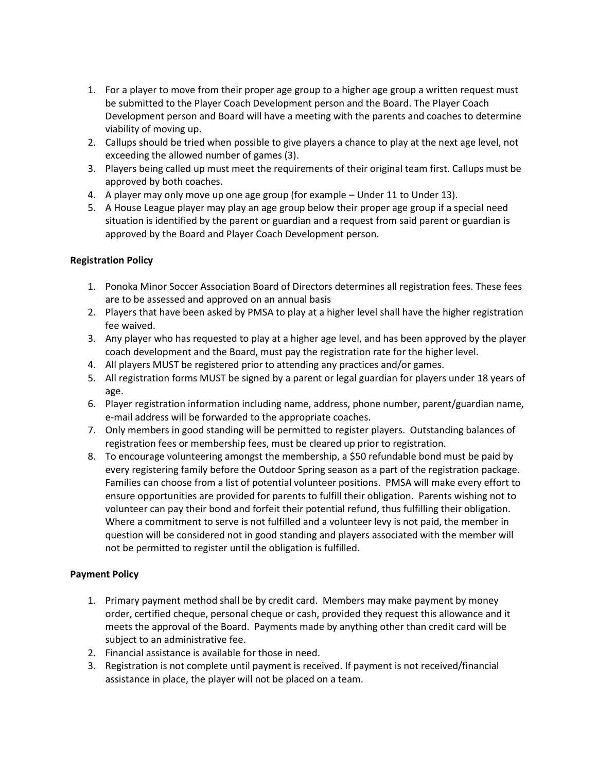- 1. For a player to move from their proper age group to a higher age group a written request must be submitted to the Player Coach Development person and the Board. The Player Coach Development person and Board will have a meeting with the parents and coaches to determine viability of moving up.
- 2. Callups should be tried when possible to give players a chance to play at the next age level, not exceeding the allowed number of games (3).
- 3. Players being called up must meet the requirements of their original team first. Callups must be approved by both coaches.
- 4. A player may only move up one age group (for example Under 11 to Under 13).
- 5. A House League player may play an age group below their proper age group if a special need situation is identified by the parent or guardian and a request from said parent or guardian is approved by the Board and Player Coach Development person.

# **Registration Policy**

- 1. Ponoka Minor Soccer Association Board of Directors determines all registration fees. These fees are to be assessed and approved on an annual basis
- 2. Players that have been asked by PMSA to play at a higher level shall have the higher registration fee waived.
- 3. Any player who has requested to play at a higher age level, and has been approved by the player coach development and the Board, must pay the registration rate for the higher level.
- 4. All players MUST be registered prior to attending any practices and/or games.
- 5. All registration forms MUST be signed by a parent or legal guardian for players under 18 years of age.
- 6. Player registration information including name, address, phone number, parent/guardian name, e-mail address will be forwarded to the appropriate coaches.
- 7. Only members in good standing will be permitted to register players. Outstanding balances of registration fees or membership fees, must be cleared up prior to registration.
- 8. To encourage volunteering amongst the membership, a \$50 refundable bond must be paid by every registering family before the Outdoor Spring season as a part of the registration package. Families can choose from a list of potential volunteer positions. PMSA will make every effort to ensure opportunities are provided for parents to fulfill their obligation. Parents wishing not to volunteer can pay their bond and forfeit their potential refund, thus fulfilling their obligation. Where a commitment to serve is not fulfilled and a volunteer levy is not paid, the member in question will be considered not in good standing and players associated with the member will not be permitted to register until the obligation is fulfilled.

# **Payment Policy**

- 1. Primary payment method shall be by credit card. Members may make payment by money order, certified cheque, personal cheque or cash, provided they request this allowance and it meets the approval of the Board. Payments made by anything other than credit card will be subject to an administrative fee.
- 2. Financial assistance is available for those in need.
- 3. Registration is not complete until payment is received. If payment is not received/financial assistance in place, the player will not be placed on a team.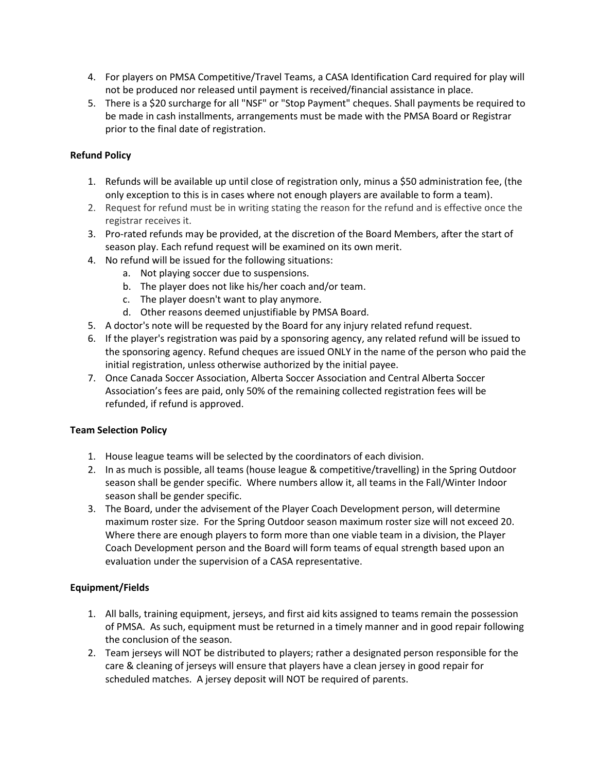- 4. For players on PMSA Competitive/Travel Teams, a CASA Identification Card required for play will not be produced nor released until payment is received/financial assistance in place.
- 5. There is a \$20 surcharge for all "NSF" or "Stop Payment" cheques. Shall payments be required to be made in cash installments, arrangements must be made with the PMSA Board or Registrar prior to the final date of registration.

# **Refund Policy**

- 1. Refunds will be available up until close of registration only, minus a \$50 administration fee, (the only exception to this is in cases where not enough players are available to form a team).
- 2. Request for refund must be in writing stating the reason for the refund and is effective once the registrar receives it.
- 3. Pro-rated refunds may be provided, at the discretion of the Board Members, after the start of season play. Each refund request will be examined on its own merit.
- 4. No refund will be issued for the following situations:
	- a. Not playing soccer due to suspensions.
	- b. The player does not like his/her coach and/or team.
	- c. The player doesn't want to play anymore.
	- d. Other reasons deemed unjustifiable by PMSA Board.
- 5. A doctor's note will be requested by the Board for any injury related refund request.
- 6. If the player's registration was paid by a sponsoring agency, any related refund will be issued to the sponsoring agency. Refund cheques are issued ONLY in the name of the person who paid the initial registration, unless otherwise authorized by the initial payee.
- 7. Once Canada Soccer Association, Alberta Soccer Association and Central Alberta Soccer Association's fees are paid, only 50% of the remaining collected registration fees will be refunded, if refund is approved.

### **Team Selection Policy**

- 1. House league teams will be selected by the coordinators of each division.
- 2. In as much is possible, all teams (house league & competitive/travelling) in the Spring Outdoor season shall be gender specific. Where numbers allow it, all teams in the Fall/Winter Indoor season shall be gender specific.
- 3. The Board, under the advisement of the Player Coach Development person, will determine maximum roster size. For the Spring Outdoor season maximum roster size will not exceed 20. Where there are enough players to form more than one viable team in a division, the Player Coach Development person and the Board will form teams of equal strength based upon an evaluation under the supervision of a CASA representative.

### **Equipment/Fields**

- 1. All balls, training equipment, jerseys, and first aid kits assigned to teams remain the possession of PMSA. As such, equipment must be returned in a timely manner and in good repair following the conclusion of the season.
- 2. Team jerseys will NOT be distributed to players; rather a designated person responsible for the care & cleaning of jerseys will ensure that players have a clean jersey in good repair for scheduled matches. A jersey deposit will NOT be required of parents.